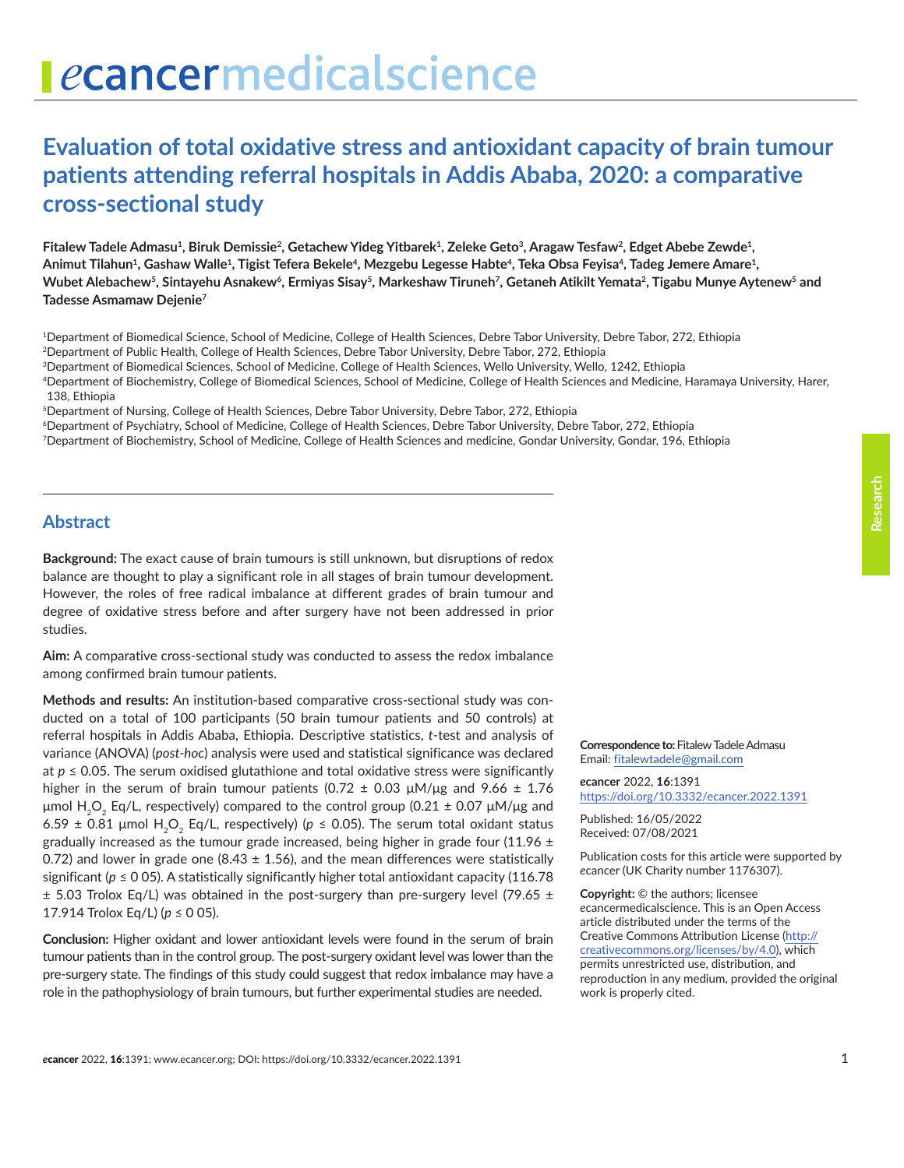# **Evaluation of total oxidative stress and antioxidant capacity of brain tumour patients attending referral hospitals in Addis Ababa, 2020: a comparative cross-sectional study**

Fitalew Tadele Admasu<sup>1</sup>, Biruk Demissie<sup>2</sup>, Getachew Yideg Yitbarek<sup>1</sup>, Zeleke Geto<sup>3</sup>, Aragaw Tesfaw<sup>2</sup>, Edget Abebe Zewde<sup>1</sup>, **Animut Tilahun1, Gashaw Walle1, Tigist Tefera Bekele4, Mezgebu Legesse Habte4, Teka Obsa Feyisa4, Tadeg Jemere Amare1,**  Wubet Alebachew<sup>5</sup>, Sintayehu Asnakew<sup>6</sup>, Ermiyas Sisay<sup>5</sup>, Markeshaw Tiruneh<sup>7</sup>, Getaneh Atikilt Yemata<sup>2</sup>, Tigabu Munye Aytenew<sup>5</sup> and **Tadesse Asmamaw Dejenie7**

1Department of Biomedical Science, School of Medicine, College of Health Sciences, Debre Tabor University, Debre Tabor, 272, Ethiopia 2Department of Public Health, College of Health Sciences, Debre Tabor University, Debre Tabor, 272, Ethiopia

3Department of Biomedical Sciences, School of Medicine, College of Health Sciences, Wello University, Wello, 1242, Ethiopia

4Department of Biochemistry, College of Biomedical Sciences, School of Medicine, College of Health Sciences and Medicine, Haramaya University, Harer,

138, Ethiopia

5Department of Nursing, College of Health Sciences, Debre Tabor University, Debre Tabor, 272, Ethiopia

6Department of Psychiatry, School of Medicine, College of Health Sciences, Debre Tabor University, Debre Tabor, 272, Ethiopia

7Department of Biochemistry, School of Medicine, College of Health Sciences and medicine, Gondar University, Gondar, 196, Ethiopia

## **Abstract**

**Background:** The exact cause of brain tumours is still unknown, but disruptions of redox balance are thought to play a significant role in all stages of brain tumour development. However, the roles of free radical imbalance at different grades of brain tumour and degree of oxidative stress before and after surgery have not been addressed in prior studies.

**Aim:** A comparative cross-sectional study was conducted to assess the redox imbalance among confirmed brain tumour patients.

**Methods and results:** An institution-based comparative cross-sectional study was conducted on a total of 100 participants (50 brain tumour patients and 50 controls) at referral hospitals in Addis Ababa, Ethiopia. Descriptive statistics, *t*-test and analysis of variance (ANOVA) (*post-hoc*) analysis were used and statistical significance was declared at  $p \le 0.05$ . The serum oxidised glutathione and total oxidative stress were significantly higher in the serum of brain tumour patients (0.72  $\pm$  0.03  $\mu$ M/ $\mu$ g and 9.66  $\pm$  1.76 μmol H<sub>2</sub>O<sub>2</sub> Eq/L, respectively) compared to the control group (0.21  $\pm$  0.07 μM/μg and 6.59  $\pm$  0.81 µmol H<sub>2</sub>O<sub>2</sub> Eq/L, respectively) ( $p \le 0.05$ ). The serum total oxidant status gradually increased as the tumour grade increased, being higher in grade four (11.96  $\pm$ 0.72) and lower in grade one (8.43  $\pm$  1.56), and the mean differences were statistically significant ( $p \le 0$  05). A statistically significantly higher total antioxidant capacity (116.78  $\pm$  5.03 Trolox Eq/L) was obtained in the post-surgery than pre-surgery level (79.65  $\pm$ 17.914 Trolox Eq/L) (*p* ≤ 0 05).

**Conclusion:** Higher oxidant and lower antioxidant levels were found in the serum of brain tumour patients than in the control group. The post-surgery oxidant level was lower than the pre-surgery state. The findings of this study could suggest that redox imbalance may have a role in the pathophysiology of brain tumours, but further experimental studies are needed.

**Correspondence to:** Fitalew Tadele Admasu Email: [fitalewtadele@gmail.com](mailto:fitalewtadele@gmail.com)

*e***cancer** 2022, **16**:1391 [https://doi.org/10.3332/ecancer.2022.139](https://doi.org/10.3332/ecancer.2022.1391)1

Published: 16/05/2022 Received: 07/08/2021

Publication costs for this article were supported by *e*cancer (UK Charity number 1176307).

**Copyright:** © the authors; licensee *e*cancermedicalscience. This is an Open Access article distributed under the terms of the Creative Commons Attribution License (http:// creativecommons.org/licenses/by/4.0), which permits unrestricted use, distribution, and reproduction in any medium, provided the original work is properly cited.

**Research**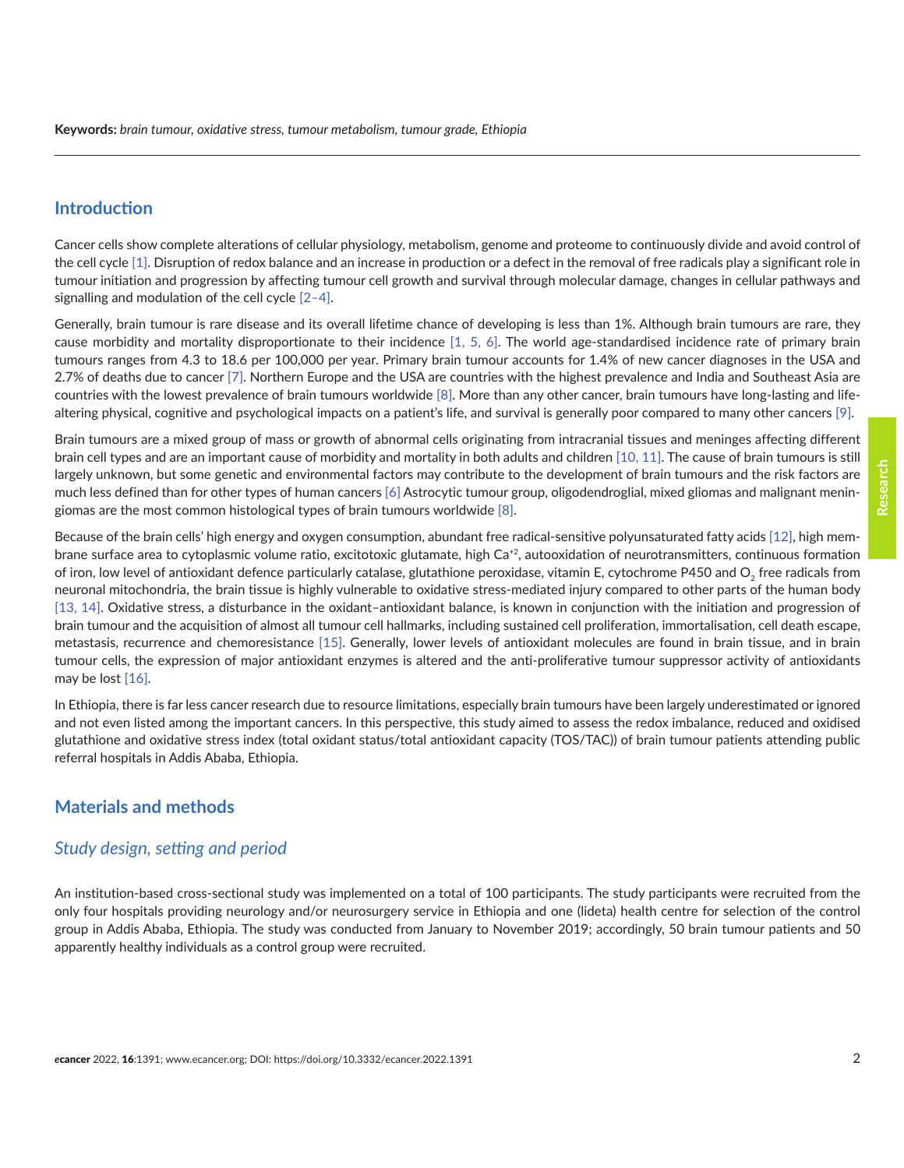#### **Introduction**

Cancer cells show complete alterations of cellular physiology, metabolism, genome and proteome to continuously divide and avoid control of the cell cycle [\[1\]](#page-11-0). Disruption of redox balance and an increase in production or a defect in the removal of free radicals play a significant role in tumour initiation and progression by affecting tumour cell growth and survival through molecular damage, changes in cellular pathways and signalling and modulation of the cell cycle [\[2–4\].](#page-11-0)

Generally, brain tumour is rare disease and its overall lifetime chance of developing is less than 1%. Although brain tumours are rare, they cause morbidity and mortality disproportionate to their incidence [\[1,](#page-11-0) [5, 6\]](#page-11-0). The world age-standardised incidence rate of primary brain tumours ranges from 4.3 to 18.6 per 100,000 per year. Primary brain tumour accounts for 1.4% of new cancer diagnoses in the USA and 2.7% of deaths due to cancer [\[7\].](#page-11-0) Northern Europe and the USA are countries with the highest prevalence and India and Southeast Asia are countries with the lowest prevalence of brain tumours worldwide [\[8\]](#page-11-0). More than any other cancer, brain tumours have long-lasting and lifealtering physical, cognitive and psychological impacts on a patient's life, and survival is generally poor compared to many other cancers [9].

Brain tumours are a mixed group of mass or growth of abnormal cells originating from intracranial tissues and meninges affecting different brain cell types and are an important cause of morbidity and mortality in both adults and children [\[10, 11\]](#page-12-0). The cause of brain tumours is still largely unknown, but some genetic and environmental factors may contribute to the development of brain tumours and the risk factors are much less defined than for other types of human cancers [\[6\]](#page-11-0) Astrocytic tumour group, oligodendroglial, mixed gliomas and malignant meningiomas are the most common histological types of brain tumours worldwide [\[8\]](#page-11-0).

Because of the brain cells' high energy and oxygen consumption, abundant free radical-sensitive polyunsaturated fatty acids [\[12\]](#page-12-0), high membrane surface area to cytoplasmic volume ratio, excitotoxic glutamate, high Ca+2, autooxidation of neurotransmitters, continuous formation of iron, low level of antioxidant defence particularly catalase, glutathione peroxidase, vitamin E, cytochrome P450 and  $O<sub>2</sub>$  free radicals from neuronal mitochondria, the brain tissue is highly vulnerable to oxidative stress-mediated injury compared to other parts of the human body [\[13,](#page-12-0) [14\]](#page-12-0). Oxidative stress, a disturbance in the oxidant–antioxidant balance, is known in conjunction with the initiation and progression of brain tumour and the acquisition of almost all tumour cell hallmarks, including sustained cell proliferation, immortalisation, cell death escape, metastasis, recurrence and chemoresistance [\[15\]](#page-12-0). Generally, lower levels of antioxidant molecules are found in brain tissue, and in brain tumour cells, the expression of major antioxidant enzymes is altered and the anti-proliferative tumour suppressor activity of antioxidants may be lost [\[16\]](#page-12-0).

In Ethiopia, there is far less cancer research due to resource limitations, especially brain tumours have been largely underestimated or ignored and not even listed among the important cancers. In this perspective, this study aimed to assess the redox imbalance, reduced and oxidised glutathione and oxidative stress index (total oxidant status/total antioxidant capacity (TOS/TAC)) of brain tumour patients attending public referral hospitals in Addis Ababa, Ethiopia.

## **Materials and methods**

#### *Study design, setting and period*

An institution-based cross-sectional study was implemented on a total of 100 participants. The study participants were recruited from the only four hospitals providing neurology and/or neurosurgery service in Ethiopia and one (lideta) health centre for selection of the control group in Addis Ababa, Ethiopia. The study was conducted from January to November 2019; accordingly, 50 brain tumour patients and 50 apparently healthy individuals as a control group were recruited.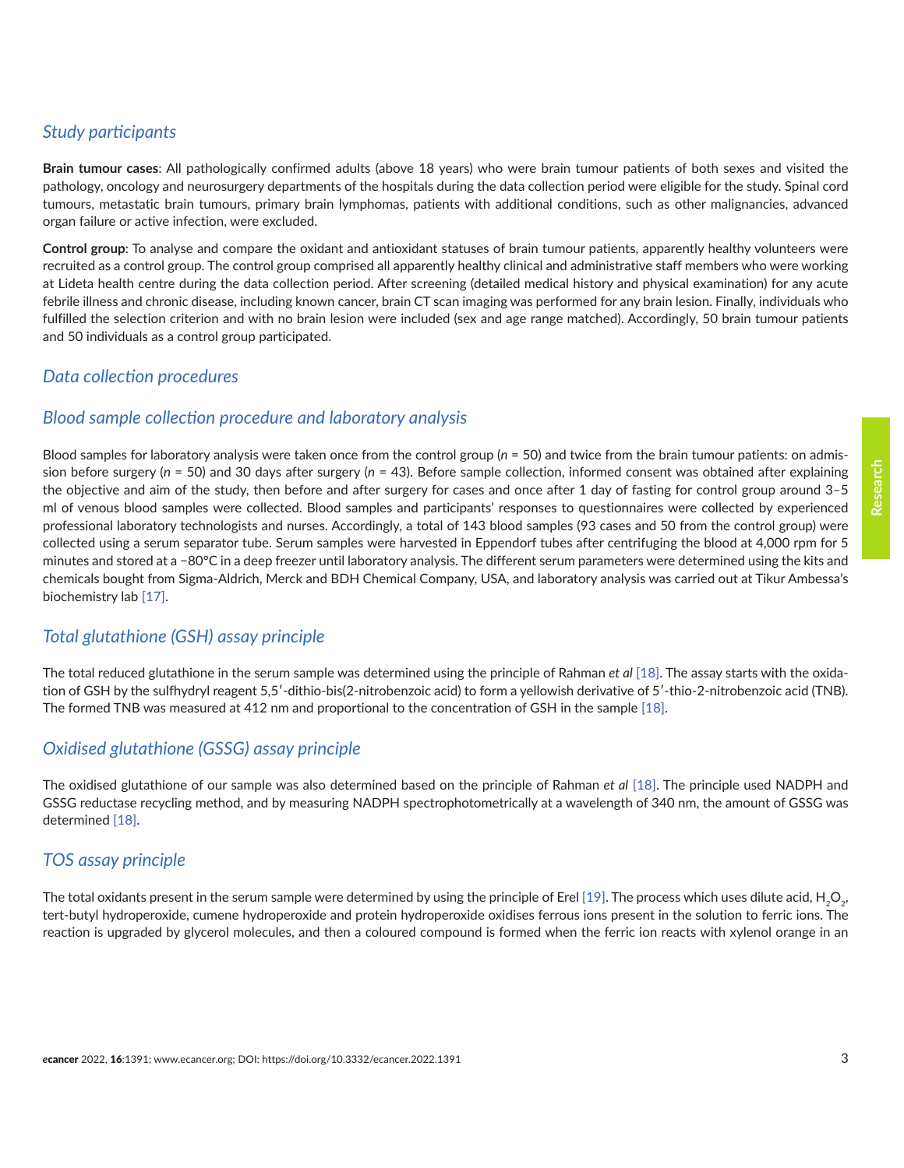## *Study participants*

**Brain tumour cases**: All pathologically confirmed adults (above 18 years) who were brain tumour patients of both sexes and visited the pathology, oncology and neurosurgery departments of the hospitals during the data collection period were eligible for the study. Spinal cord tumours, metastatic brain tumours, primary brain lymphomas, patients with additional conditions, such as other malignancies, advanced organ failure or active infection, were excluded.

**Control group**: To analyse and compare the oxidant and antioxidant statuses of brain tumour patients, apparently healthy volunteers were recruited as a control group. The control group comprised all apparently healthy clinical and administrative staff members who were working at Lideta health centre during the data collection period. After screening (detailed medical history and physical examination) for any acute febrile illness and chronic disease, including known cancer, brain CT scan imaging was performed for any brain lesion. Finally, individuals who fulfilled the selection criterion and with no brain lesion were included (sex and age range matched). Accordingly, 50 brain tumour patients and 50 individuals as a control group participated.

## *Data collection procedures*

## *Blood sample collection procedure and laboratory analysis*

Blood samples for laboratory analysis were taken once from the control group (*n* = 50) and twice from the brain tumour patients: on admission before surgery (*n* = 50) and 30 days after surgery (*n* = 43). Before sample collection, informed consent was obtained after explaining the objective and aim of the study, then before and after surgery for cases and once after 1 day of fasting for control group around 3–5 ml of venous blood samples were collected. Blood samples and participants' responses to questionnaires were collected by experienced professional laboratory technologists and nurses. Accordingly, a total of 143 blood samples (93 cases and 50 from the control group) were collected using a serum separator tube. Serum samples were harvested in Eppendorf tubes after centrifuging the blood at 4,000 rpm for 5 minutes and stored at a −80°C in a deep freezer until laboratory analysis. The different serum parameters were determined using the kits and chemicals bought from Sigma-Aldrich, Merck and BDH Chemical Company, USA, and laboratory analysis was carried out at Tikur Ambessa's biochemistry lab [\[17\].](#page-12-0)

## *Total glutathione (GSH) assay principle*

The total reduced glutathione in the serum sample was determined using the principle of Rahman *et al* [\[18\].](#page-12-0) The assay starts with the oxidation of GSH by the sulfhydryl reagent 5,5'-dithio-bis(2-nitrobenzoic acid) to form a yellowish derivative of 5'-thio-2-nitrobenzoic acid (TNB). The formed TNB was measured at 412 nm and proportional to the concentration of GSH in the sample [\[18\].](#page-12-0)

# *Oxidised glutathione (GSSG) assay principle*

The oxidised glutathione of our sample was also determined based on the principle of Rahman *et al* [\[18\].](#page-12-0) The principle used NADPH and GSSG reductase recycling method, and by measuring NADPH spectrophotometrically at a wavelength of 340 nm, the amount of GSSG was determined [\[18\].](#page-12-0)

## *TOS assay principle*

The total oxidants present in the serum sample were determined by using the principle of Erel [\[19\]](#page-12-0). The process which uses dilute acid, H<sub>2</sub>O<sub>2</sub>, tert-butyl hydroperoxide, cumene hydroperoxide and protein hydroperoxide oxidises ferrous ions present in the solution to ferric ions. The reaction is upgraded by glycerol molecules, and then a coloured compound is formed when the ferric ion reacts with xylenol orange in an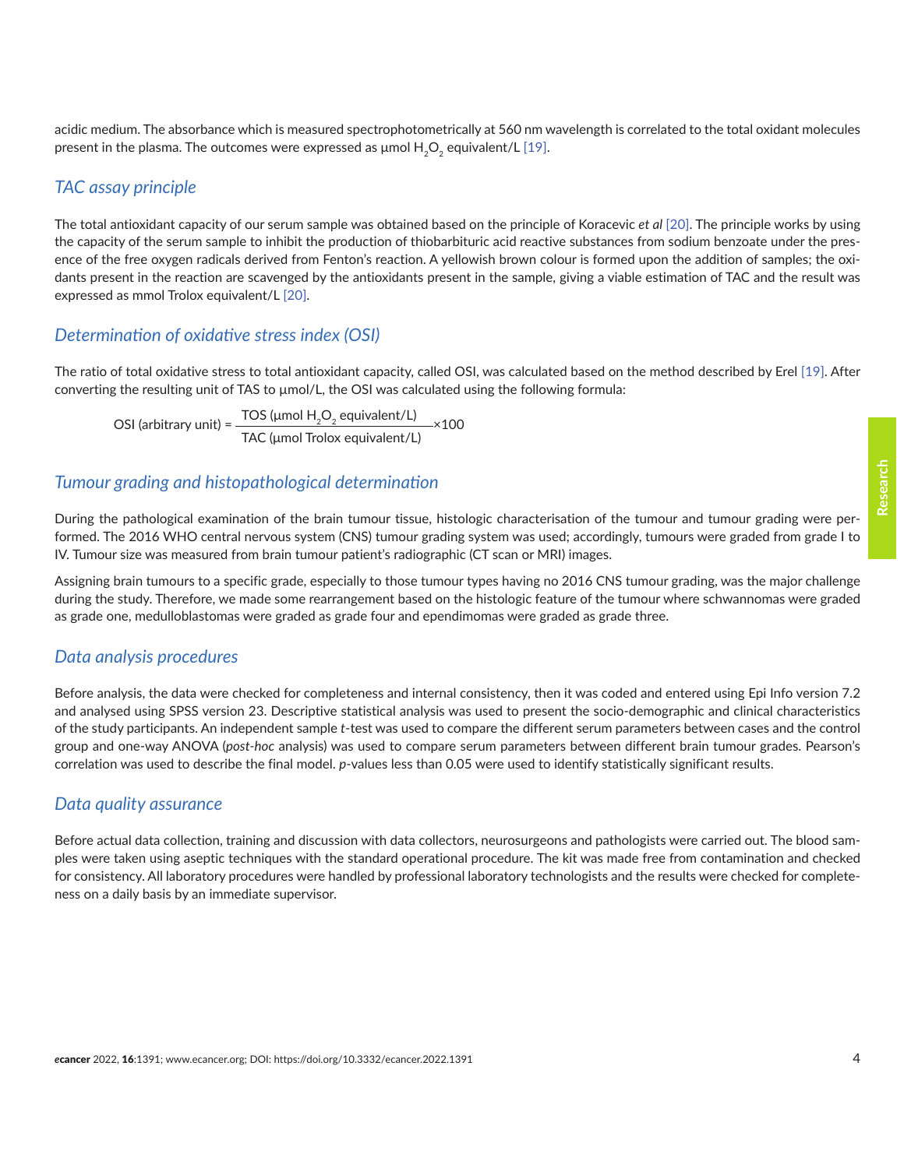acidic medium. The absorbance which is measured spectrophotometrically at 560 nm wavelength is correlated to the total oxidant molecules present in the plasma. The outcomes were expressed as  $\mu$ mol  $H_2O_2$  equivalent/L [\[19\].](#page-12-0)

### *TAC assay principle*

The total antioxidant capacity of our serum sample was obtained based on the principle of Koracevic *et al* [\[20\]](#page-12-0). The principle works by using the capacity of the serum sample to inhibit the production of thiobarbituric acid reactive substances from sodium benzoate under the presence of the free oxygen radicals derived from Fenton's reaction. A yellowish brown colour is formed upon the addition of samples; the oxidants present in the reaction are scavenged by the antioxidants present in the sample, giving a viable estimation of TAC and the result was expressed as mmol Trolox equivalent/L [\[20\].](#page-12-0)

#### *Determination of oxidative stress index (OSI)*

The ratio of total oxidative stress to total antioxidant capacity, called OSI, was calculated based on the method described by Erel [\[19\].](#page-12-0) After converting the resulting unit of TAS to  $\mu$ mol/L, the OSI was calculated using the following formula:

OSI (arbitrary unit) =  $\frac{\text{TOS (µmol H}_2\text{O}_2 \text{ equivalent/L})}{\text{TOS (µmol H}_2\text{O}_2 \text{ equivalent/L)}}$ TAC (μmol Trolox equivalent/L) ×100

#### *Tumour grading and histopathological determination*

During the pathological examination of the brain tumour tissue, histologic characterisation of the tumour and tumour grading were performed. The 2016 WHO central nervous system (CNS) tumour grading system was used; accordingly, tumours were graded from grade I to IV. Tumour size was measured from brain tumour patient's radiographic (CT scan or MRI) images.

Assigning brain tumours to a specific grade, especially to those tumour types having no 2016 CNS tumour grading, was the major challenge during the study. Therefore, we made some rearrangement based on the histologic feature of the tumour where schwannomas were graded as grade one, medulloblastomas were graded as grade four and ependimomas were graded as grade three.

#### *Data analysis procedures*

Before analysis, the data were checked for completeness and internal consistency, then it was coded and entered using Epi Info version 7.2 and analysed using SPSS version 23. Descriptive statistical analysis was used to present the socio-demographic and clinical characteristics of the study participants. An independent sample *t*-test was used to compare the different serum parameters between cases and the control group and one-way ANOVA (*post-hoc* analysis) was used to compare serum parameters between different brain tumour grades. Pearson's correlation was used to describe the final model. *p*-values less than 0.05 were used to identify statistically significant results.

#### *Data quality assurance*

Before actual data collection, training and discussion with data collectors, neurosurgeons and pathologists were carried out. The blood samples were taken using aseptic techniques with the standard operational procedure. The kit was made free from contamination and checked for consistency. All laboratory procedures were handled by professional laboratory technologists and the results were checked for completeness on a daily basis by an immediate supervisor.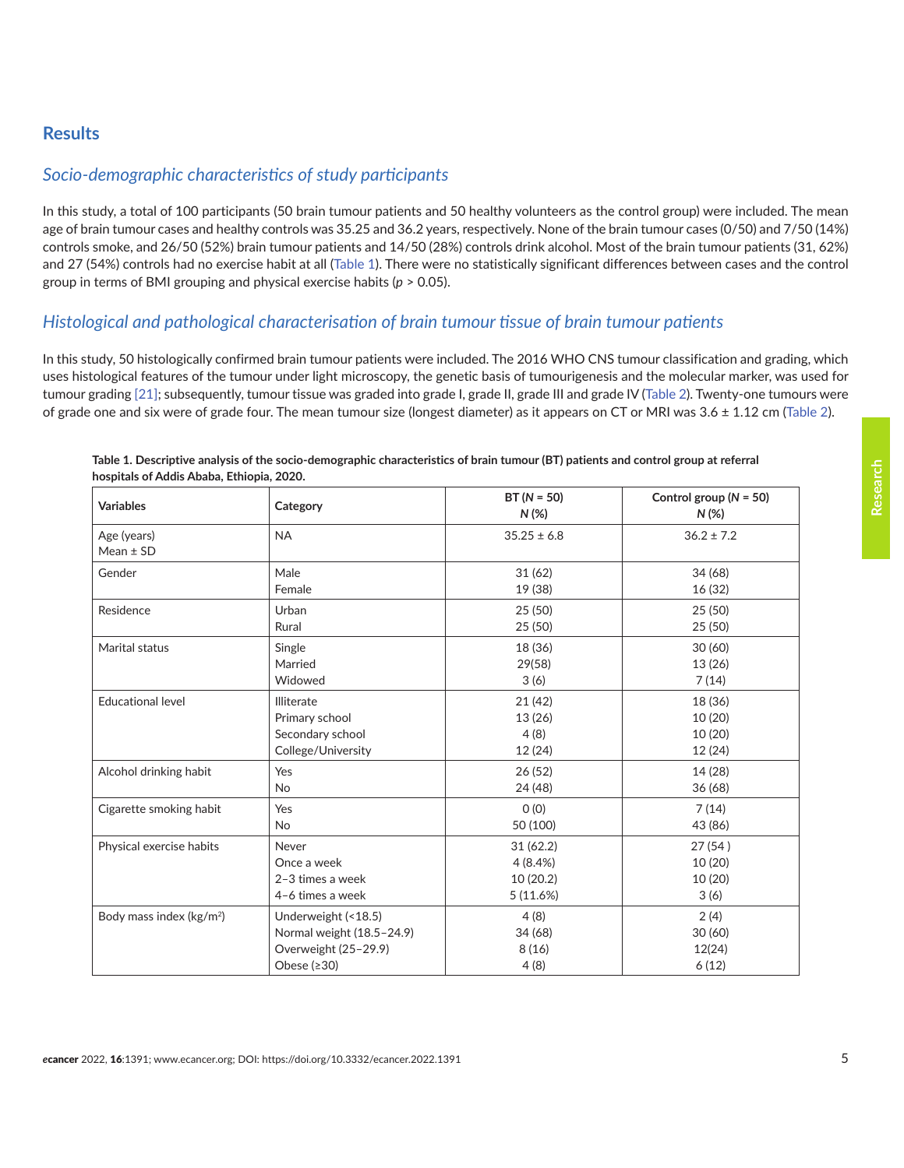## **Results**

## *Socio-demographic characteristics of study participants*

In this study, a total of 100 participants (50 brain tumour patients and 50 healthy volunteers as the control group) were included. The mean age of brain tumour cases and healthy controls was 35.25 and 36.2 years, respectively. None of the brain tumour cases (0/50) and 7/50 (14%) controls smoke, and 26/50 (52%) brain tumour patients and 14/50 (28%) controls drink alcohol. Most of the brain tumour patients (31, 62%) and 27 (54%) controls had no exercise habit at all (Table 1). There were no statistically significant differences between cases and the control group in terms of BMI grouping and physical exercise habits (*p* > 0.05).

## *Histological and pathological characterisation of brain tumour tissue of brain tumour patients*

In this study, 50 histologically confirmed brain tumour patients were included. The 2016 WHO CNS tumour classification and grading, which uses histological features of the tumour under light microscopy, the genetic basis of tumourigenesis and the molecular marker, was used for tumour grading [\[21\];](#page-12-0) subsequently, tumour tissue was graded into grade I, grade II, grade III and grade IV [\(Table 2](#page-5-0)). Twenty-one tumours were of grade one and six were of grade four. The mean tumour size (longest diameter) as it appears on CT or MRI was 3.6 ± 1.12 cm ([Table 2](#page-5-0)).

| <b>Variables</b>                     | Category                  | $BT (N = 50)$<br>$N(\%)$ | Control group ( $N = 50$ )<br>$N$ (%) |
|--------------------------------------|---------------------------|--------------------------|---------------------------------------|
| Age (years)<br>Mean $±$ SD           | <b>NA</b>                 | $35.25 \pm 6.8$          | $36.2 \pm 7.2$                        |
| Gender                               | Male                      | 31(62)                   | 34 (68)                               |
|                                      | Female                    | 19 (38)                  | 16 (32)                               |
| Residence                            | Urban                     | 25 (50)                  | 25(50)                                |
|                                      | Rural                     | 25(50)                   | 25(50)                                |
| Marital status                       | Single                    | 18 (36)                  | 30(60)                                |
|                                      | Married                   | 29(58)                   | 13(26)                                |
|                                      | Widowed                   | 3(6)                     | 7(14)                                 |
| <b>Educational level</b>             | Illiterate                | 21(42)                   | 18 (36)                               |
|                                      | Primary school            | 13(26)                   | 10 (20)                               |
|                                      | Secondary school          | 4(8)                     | 10(20)                                |
|                                      | College/University        | 12 (24)                  | 12 (24)                               |
| Alcohol drinking habit               | Yes                       | 26(52)                   | 14 (28)                               |
|                                      | No                        | 24 (48)                  | 36(68)                                |
| Cigarette smoking habit              | Yes                       | O(0)                     | 7(14)                                 |
|                                      | <b>No</b>                 | 50 (100)                 | 43 (86)                               |
| Physical exercise habits             | Never                     | 31(62.2)                 | 27 (54)                               |
|                                      | Once a week               | 4(8.4%)                  | 10(20)                                |
|                                      | 2-3 times a week          | 10 (20.2)                | 10 (20)                               |
|                                      | 4-6 times a week          | 5(11.6%)                 | 3(6)                                  |
| Body mass index (kg/m <sup>2</sup> ) | Underweight (<18.5)       | 4(8)                     | 2(4)                                  |
|                                      | Normal weight (18.5-24.9) | 34 (68)                  | 30(60)                                |
|                                      | Overweight (25-29.9)      | 8(16)                    | 12(24)                                |
|                                      | Obese $(≥30)$             | 4(8)                     | 6(12)                                 |

| Table 1. Descriptive analysis of the socio-demographic characteristics of brain tumour (BT) patients and control group at referral |  |
|------------------------------------------------------------------------------------------------------------------------------------|--|
| hospitals of Addis Ababa. Ethiopia. 2020.                                                                                          |  |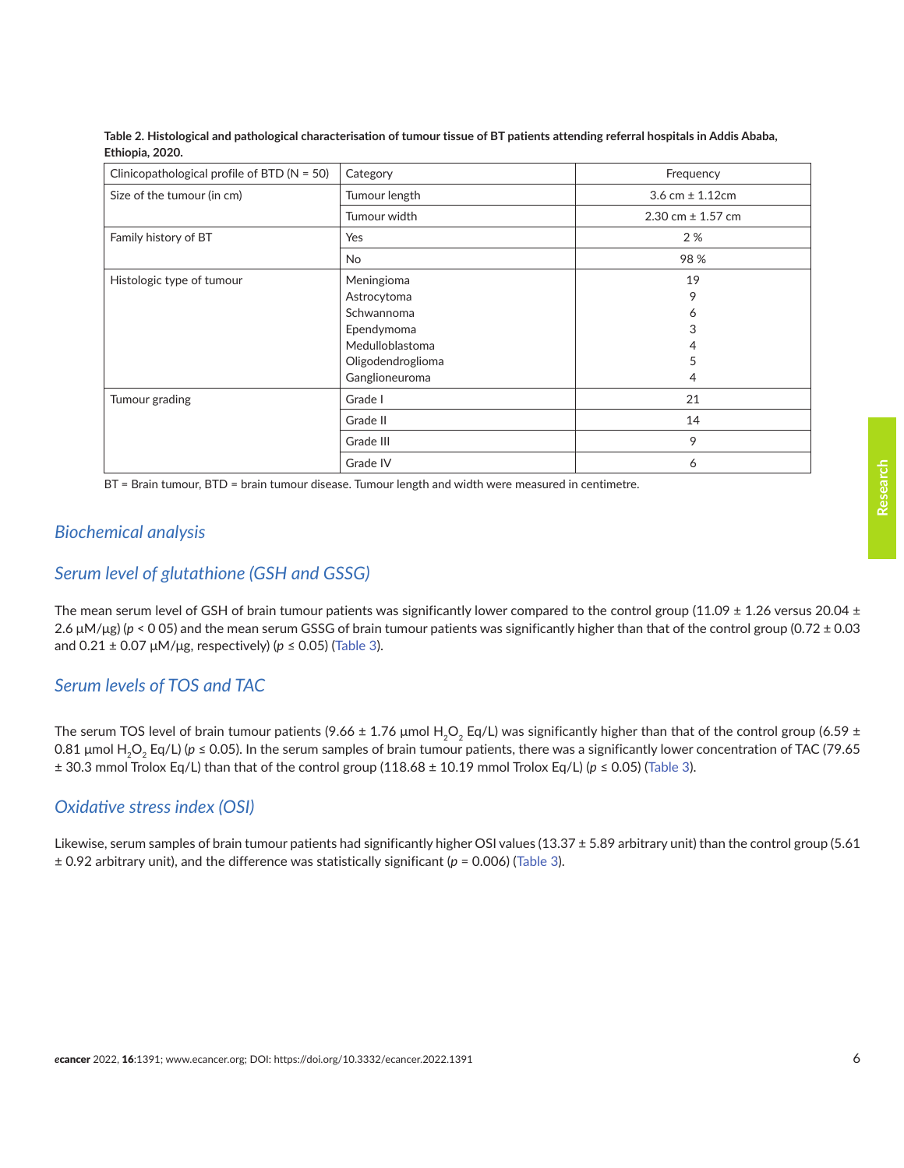| Clinicopathological profile of BTD ( $N = 50$ ) | Category          | Frequency             |  |
|-------------------------------------------------|-------------------|-----------------------|--|
| Size of the tumour (in cm)                      | Tumour length     | 3.6 cm $\pm$ 1.12cm   |  |
|                                                 | Tumour width      | 2.30 cm $\pm$ 1.57 cm |  |
| Family history of BT                            | Yes               | 2%                    |  |
|                                                 | No                | 98%                   |  |
| Histologic type of tumour                       | Meningioma        | 19                    |  |
|                                                 | Astrocytoma       | 9                     |  |
|                                                 | Schwannoma        | 6                     |  |
|                                                 | Ependymoma        | 3                     |  |
|                                                 | Medulloblastoma   | 4                     |  |
|                                                 | Oligodendroglioma | 5                     |  |
|                                                 | Ganglioneuroma    | 4                     |  |
| Tumour grading                                  | Grade I           | 21                    |  |
|                                                 | Grade II          | 14                    |  |
|                                                 | Grade III         | 9                     |  |
|                                                 | Grade IV          | 6                     |  |

<span id="page-5-0"></span>**Table 2. Histological and pathological characterisation of tumour tissue of BT patients attending referral hospitals in Addis Ababa, Ethiopia, 2020.**

BT = Brain tumour, BTD = brain tumour disease. Tumour length and width were measured in centimetre.

## *Biochemical analysis*

## *Serum level of glutathione (GSH and GSSG)*

The mean serum level of GSH of brain tumour patients was significantly lower compared to the control group (11.09  $\pm$  1.26 versus 20.04  $\pm$ 2.6 μM/μg) (*p* < 0 05) and the mean serum GSSG of brain tumour patients was significantly higher than that of the control group (0.72 ± 0.03 and  $0.21 \pm 0.07 \mu M/\mu g$ , respectively) ( $p \le 0.05$ ) ([Table 3](#page-6-0)).

## *Serum levels of TOS and TAC*

The serum TOS level of brain tumour patients (9.66 ± 1.76 µmol H<sub>2</sub>O<sub>2</sub> Eq/L) was significantly higher than that of the control group (6.59 ± 0.81 μmol H<sub>2</sub>O<sub>2</sub> Eq/L) (*p* ≤ 0.05). In the serum samples of brain tumour patients, there was a significantly lower concentration of TAC (79.65 ± 30.3 mmol Trolox Eq/L) than that of the control group (118.68 ± 10.19 mmol Trolox Eq/L) (*p* ≤ 0.05) ([Table 3](#page-6-0)).

## *Oxidative stress index (OSI)*

Likewise, serum samples of brain tumour patients had significantly higher OSI values (13.37 ± 5.89 arbitrary unit) than the control group (5.61 ± 0.92 arbitrary unit), and the difference was statistically significant (*p* = 0.006) [\(Table 3](#page-6-0)).

**Research**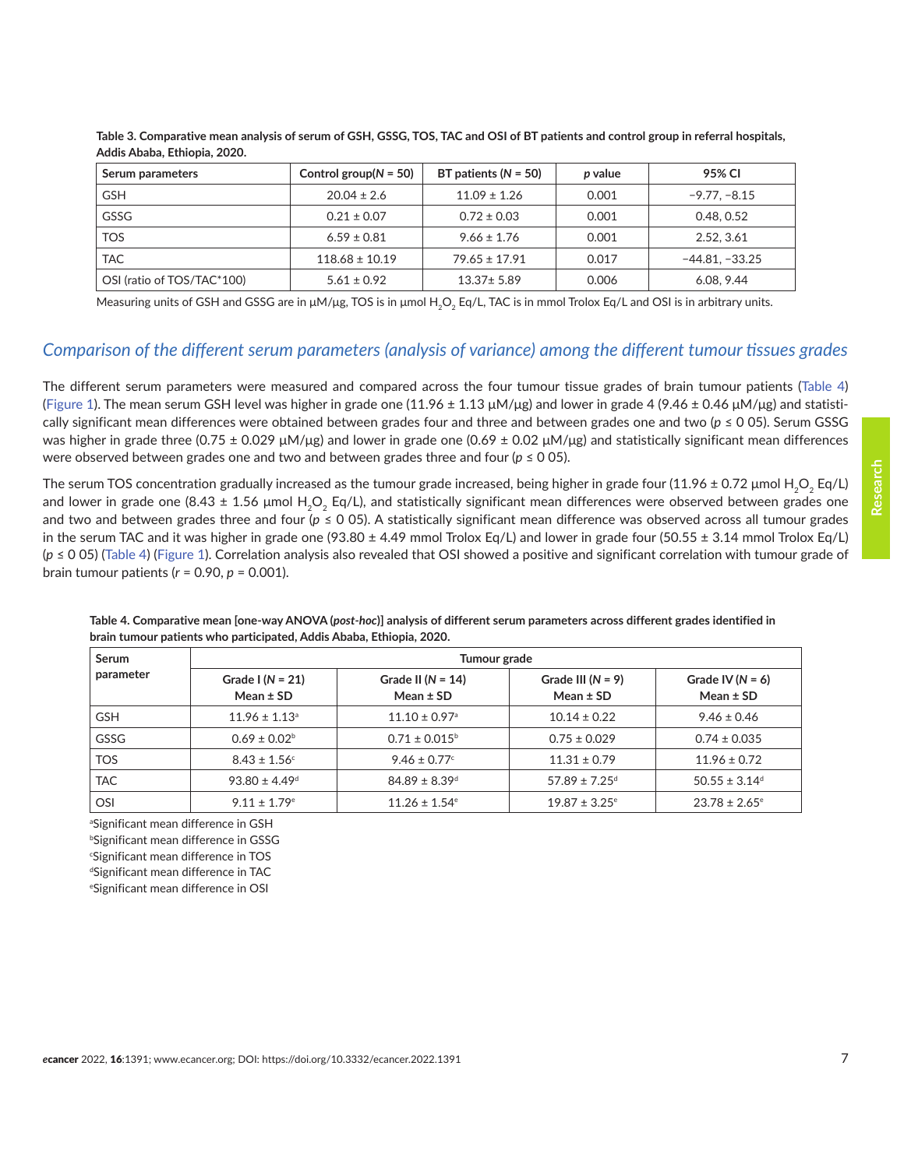| Serum parameters           | Control group( $N = 50$ ) | BT patients ( $N = 50$ ) | p value | 95% CI           |
|----------------------------|---------------------------|--------------------------|---------|------------------|
| <b>GSH</b>                 | $20.04 \pm 2.6$           | $11.09 \pm 1.26$         | 0.001   | $-9.77, -8.15$   |
| <b>GSSG</b>                | $0.21 \pm 0.07$           | $0.72 \pm 0.03$          | 0.001   | 0.48, 0.52       |
| <b>TOS</b>                 | $6.59 \pm 0.81$           | $9.66 \pm 1.76$          | 0.001   | 2.52, 3.61       |
| <b>TAC</b>                 | $118.68 \pm 10.19$        | $79.65 \pm 17.91$        | 0.017   | $-44.81 - 33.25$ |
| OSI (ratio of TOS/TAC*100) | $5.61 \pm 0.92$           | $13.37 \pm 5.89$         | 0.006   | 6.08, 9.44       |

<span id="page-6-0"></span>**Table 3. Comparative mean analysis of serum of GSH, GSSG, TOS, TAC and OSI of BT patients and control group in referral hospitals, Addis Ababa, Ethiopia, 2020.**

Measuring units of GSH and GSSG are in  $\mu M/\mu g$ , TOS is in  $\mu$ mol H<sub>2</sub>O<sub>2</sub> Eq/L, TAC is in mmol Trolox Eq/L and OSI is in arbitrary units.

## *Comparison of the different serum parameters (analysis of variance) among the different tumour tissues grades*

The different serum parameters were measured and compared across the four tumour tissue grades of brain tumour patients (Table 4) [\(Figure 1](#page-7-0)). The mean serum GSH level was higher in grade one (11.96  $\pm$  1.13 μM/μg) and lower in grade 4 (9.46  $\pm$  0.46 μM/μg) and statistically significant mean differences were obtained between grades four and three and between grades one and two (*p* ≤ 0 05). Serum GSSG was higher in grade three (0.75 ± 0.029 μM/μg) and lower in grade one (0.69 ± 0.02 μM/μg) and statistically significant mean differences were observed between grades one and two and between grades three and four ( $p \le 0$  05).

The serum TOS concentration gradually increased as the tumour grade increased, being higher in grade four (11.96  $\pm$  0.72 µmol H<sub>2</sub>O<sub>2</sub> Eq/L) and lower in grade one (8.43  $\pm$  1.56 µmol H<sub>2</sub>O<sub>2</sub> Eq/L), and statistically significant mean differences were observed between grades one and two and between grades three and four (*p* ≤ 0 05). A statistically significant mean difference was observed across all tumour grades in the serum TAC and it was higher in grade one (93.80  $\pm$  4.49 mmol Trolox Eq/L) and lower in grade four (50.55  $\pm$  3.14 mmol Trolox Eq/L) (*p* ≤ 0 05) (Table 4) ([Figure 1\)](#page-7-0). Correlation analysis also revealed that OSI showed a positive and significant correlation with tumour grade of brain tumour patients (*r* = 0.90, *p* = 0.001).

| Serum       | Tumour grade                          |                                      |                                      |                                     |
|-------------|---------------------------------------|--------------------------------------|--------------------------------------|-------------------------------------|
| parameter   | Grade I ( $N = 21$ )<br>Mean $\pm$ SD | Grade II ( $N = 14$ )<br>Mean $±$ SD | Grade III $(N = 9)$<br>Mean $\pm$ SD | Grade IV ( $N = 6$ )<br>Mean $±$ SD |
| <b>GSH</b>  | $11.96 \pm 1.13$ <sup>a</sup>         | $11.10 \pm 0.97$ <sup>a</sup>        | $10.14 \pm 0.22$                     | $9.46 \pm 0.46$                     |
| <b>GSSG</b> | $0.69 \pm 0.02^{\circ}$               | $0.71 \pm 0.015^{\circ}$             | $0.75 \pm 0.029$                     | $0.74 \pm 0.035$                    |
| <b>TOS</b>  | $8.43 \pm 1.56$                       | $9.46 \pm 0.77$                      | $11.31 \pm 0.79$                     | $11.96 \pm 0.72$                    |
| <b>TAC</b>  | $93.80 \pm 4.49$ <sup>d</sup>         | $84.89 \pm 8.39$ <sup>d</sup>        | $57.89 \pm 7.25$ <sup>d</sup>        | $50.55 \pm 3.14$ <sup>d</sup>       |
| <b>OSI</b>  | $9.11 \pm 1.79$ <sup>e</sup>          | $11.26 \pm 1.54$ <sup>e</sup>        | $19.87 \pm 3.25$ <sup>e</sup>        | $23.78 \pm 2.65$ <sup>e</sup>       |

**Table 4. Comparative mean [one-way ANOVA (***post-hoc***)] analysis of different serum parameters across different grades identified in brain tumour patients who participated, Addis Ababa, Ethiopia, 2020.**

a Significant mean difference in GSH

b Significant mean difference in GSSG

c Significant mean difference in TOS

d Significant mean difference in TAC

e Significant mean difference in OSI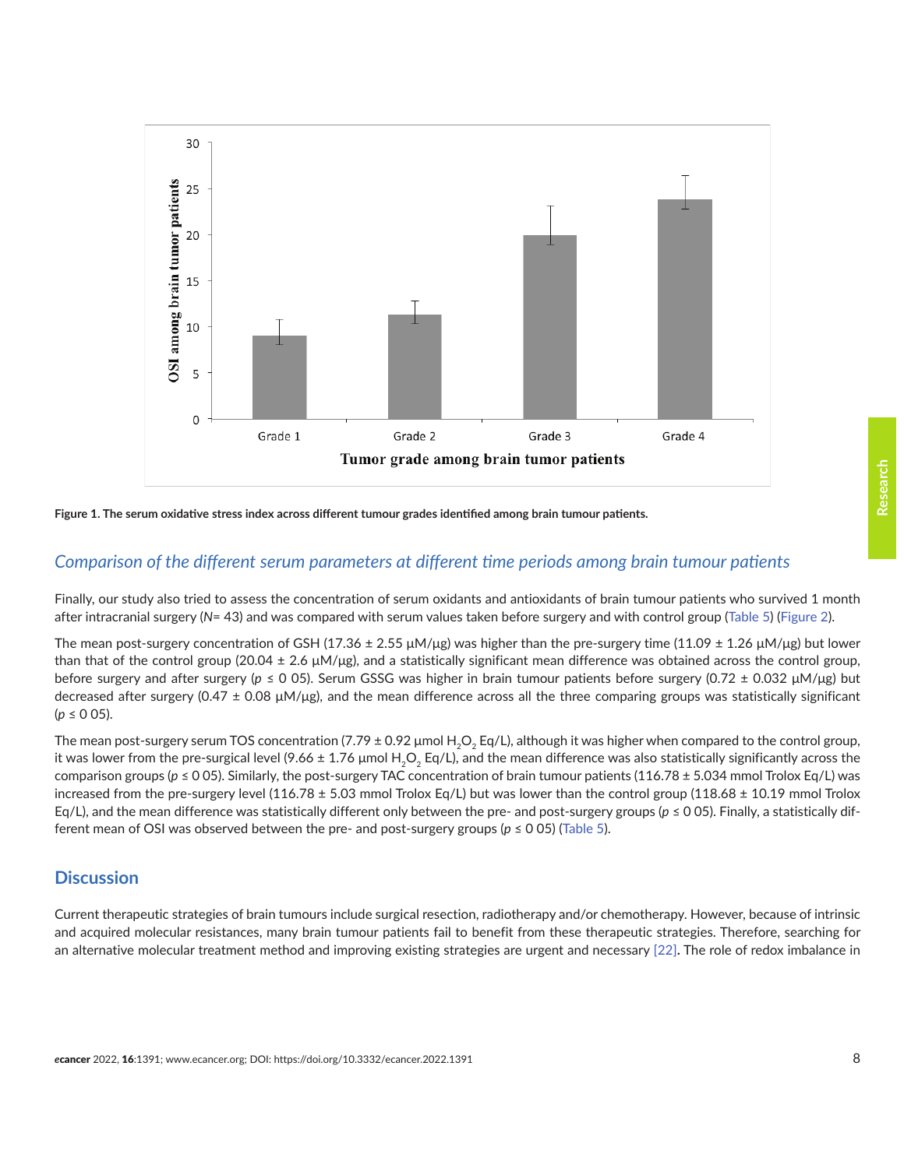<span id="page-7-0"></span>



#### *Comparison of the different serum parameters at different time periods among brain tumour patients*

Finally, our study also tried to assess the concentration of serum oxidants and antioxidants of brain tumour patients who survived 1 month after intracranial surgery (*N*= 43) and was compared with serum values taken before surgery and with control group ([Table 5\)](#page-8-0) ([Figure 2](#page-9-0)).

The mean post-surgery concentration of GSH (17.36  $\pm$  2.55 μM/μg) was higher than the pre-surgery time (11.09  $\pm$  1.26 μM/μg) but lower than that of the control group (20.04  $\pm$  2.6  $\mu$ M/ $\mu$ g), and a statistically significant mean difference was obtained across the control group, before surgery and after surgery (*p* ≤ 0 05). Serum GSSG was higher in brain tumour patients before surgery (0.72 ± 0.032 μM/μg) but decreased after surgery (0.47  $\pm$  0.08  $\mu$ M/ $\mu$ g), and the mean difference across all the three comparing groups was statistically significant (*p* ≤ 0 05).

The mean post-surgery serum TOS concentration (7.79  $\pm$  0.92 µmol H<sub>2</sub>O<sub>2</sub> Eq/L), although it was higher when compared to the control group, it was lower from the pre-surgical level (9.66  $\pm$  1.76 μmol H<sub>2</sub>O<sub>2</sub> Eq/L), and the mean difference was also statistically significantly across the comparison groups (*p* ≤ 0 05). Similarly, the post-surgery TAC concentration of brain tumour patients (116.78 ± 5.034 mmol Trolox Eq/L) was increased from the pre-surgery level (116.78  $\pm$  5.03 mmol Trolox Eq/L) but was lower than the control group (118.68  $\pm$  10.19 mmol Trolox Eq/L), and the mean difference was statistically different only between the pre- and post-surgery groups (*p* ≤ 0 05). Finally, a statistically different mean of OSI was observed between the pre- and post-surgery groups (*p* ≤ 0 05) ([Table 5](#page-8-0)).

## **Discussion**

Current therapeutic strategies of brain tumours include surgical resection, radiotherapy and/or chemotherapy. However, because of intrinsic and acquired molecular resistances, many brain tumour patients fail to benefit from these therapeutic strategies. Therefore, searching for an alternative molecular treatment method and improving existing strategies are urgent and necessary [\[22\]](#page-12-0)**.** The role of redox imbalance in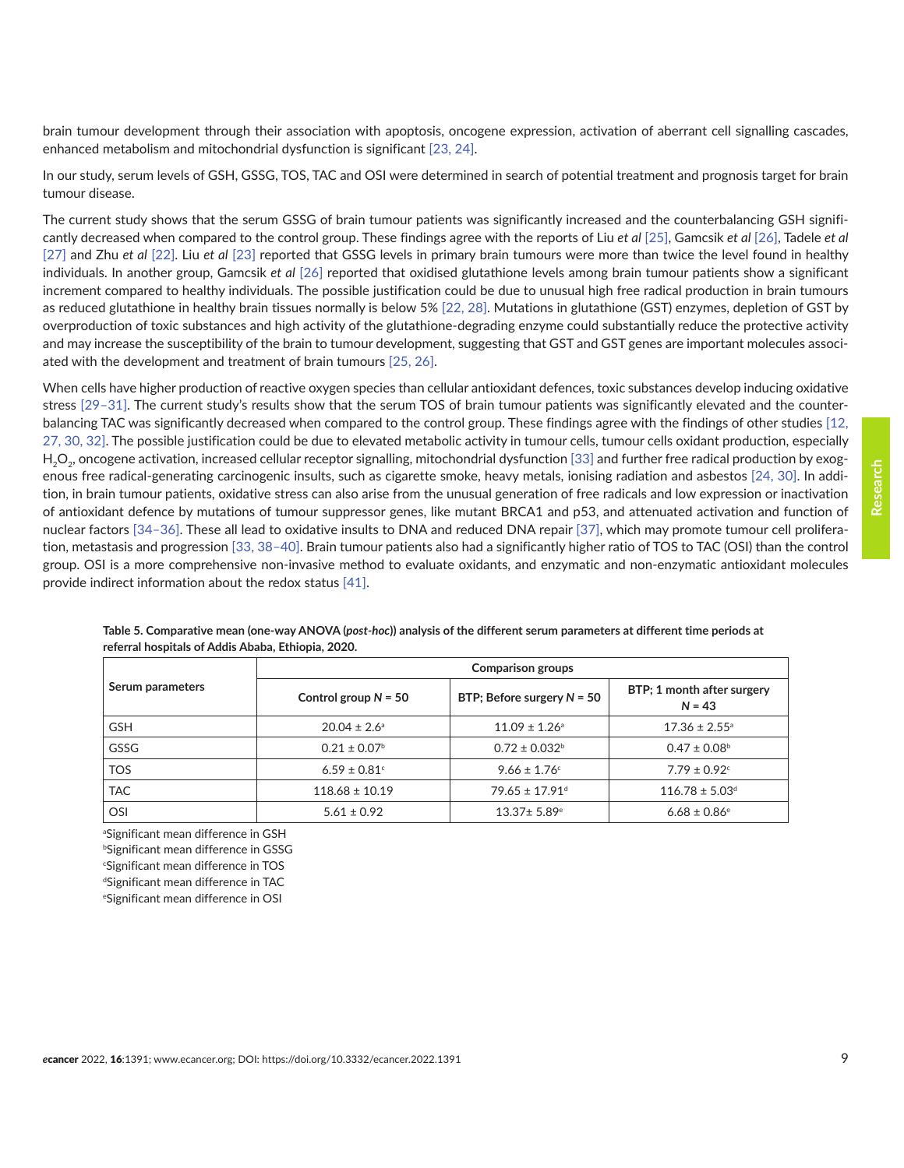<span id="page-8-0"></span>brain tumour development through their association with apoptosis, oncogene expression, activation of aberrant cell signalling cascades, enhanced metabolism and mitochondrial dysfunction is significant [\[23, 24\]](#page-12-0).

In our study, serum levels of GSH, GSSG, TOS, TAC and OSI were determined in search of potential treatment and prognosis target for brain tumour disease.

The current study shows that the serum GSSG of brain tumour patients was significantly increased and the counterbalancing GSH significantly decreased when compared to the control group. These findings agree with the reports of Liu *et al* [\[25\],](#page-12-0) Gamcsik *et al* [\[26\]](#page-12-0), Tadele *et al* [\[27\]](#page-12-0) and Zhu *et al* [\[22\].](#page-12-0) Liu *et al* [\[23\]](#page-12-0) reported that GSSG levels in primary brain tumours were more than twice the level found in healthy individuals. In another group, Gamcsik *et al* [\[26\]](#page-12-0) reported that oxidised glutathione levels among brain tumour patients show a significant increment compared to healthy individuals. The possible justification could be due to unusual high free radical production in brain tumours as reduced glutathione in healthy brain tissues normally is below 5% [\[22,](#page-12-0) [28\]](#page-13-0). Mutations in glutathione (GST) enzymes, depletion of GST by overproduction of toxic substances and high activity of the glutathione-degrading enzyme could substantially reduce the protective activity and may increase the susceptibility of the brain to tumour development, suggesting that GST and GST genes are important molecules associated with the development and treatment of brain tumours [\[25, 26\]](#page-12-0).

When cells have higher production of reactive oxygen species than cellular antioxidant defences, toxic substances develop inducing oxidative stress [\[29–31\]](#page-13-0). The current study's results show that the serum TOS of brain tumour patients was significantly elevated and the counterbalancing TAC was significantly decreased when compared to the control group. These findings agree with the findings of other studies [\[12,](#page-12-0)  [27,](#page-12-0) [30, 32\].](#page-13-0) The possible justification could be due to elevated metabolic activity in tumour cells, tumour cells oxidant production, especially H<sub>2</sub>O<sub>2</sub>, oncogene activation, increased cellular receptor signalling, mitochondrial dysfunction [\[33\]](#page-13-0) and further free radical production by exogenous free radical-generating carcinogenic insults, such as cigarette smoke, heavy metals, ionising radiation and asbestos [\[24,](#page-12-0) [30\].](#page-13-0) In addition, in brain tumour patients, oxidative stress can also arise from the unusual generation of free radicals and low expression or inactivation of antioxidant defence by mutations of tumour suppressor genes, like mutant BRCA1 and p53, and attenuated activation and function of nuclear factors [\[34–36\].](#page-13-0) These all lead to oxidative insults to DNA and reduced DNA repair [\[37\]](#page-13-0), which may promote tumour cell proliferation, metastasis and progression [\[33, 38–40\]](#page-13-0). Brain tumour patients also had a significantly higher ratio of TOS to TAC (OSI) than the control group. OSI is a more comprehensive non-invasive method to evaluate oxidants, and enzymatic and non-enzymatic antioxidant molecules provide indirect information about the redox status [\[41\]](#page-13-0).

| Serum parameters | <b>Comparison groups</b>     |                                |                                        |  |
|------------------|------------------------------|--------------------------------|----------------------------------------|--|
|                  | Control group $N = 50$       | BTP; Before surgery $N = 50$   | BTP; 1 month after surgery<br>$N = 43$ |  |
| <b>GSH</b>       | $20.04 \pm 2.6^{\circ}$      | $11.09 \pm 1.26$ <sup>a</sup>  | $17.36 \pm 2.55$ <sup>a</sup>          |  |
| GSSG             | $0.21 \pm 0.07$ <sup>b</sup> | $0.72 \pm 0.032^{\circ}$       | $0.47 \pm 0.08^{\circ}$                |  |
| <b>TOS</b>       | $6.59 \pm 0.81$ °            | $9.66 \pm 1.76$                | $7.79 \pm 0.92$ <sup>c</sup>           |  |
| <b>TAC</b>       | $118.68 \pm 10.19$           | $79.65 \pm 17.91$ <sup>d</sup> | $116.78 \pm 5.03$ <sup>d</sup>         |  |
| OSI              | $5.61 \pm 0.92$              | $13.37 \pm 5.89$ <sup>e</sup>  | $6.68 \pm 0.86$ <sup>e</sup>           |  |

**Table 5. Comparative mean (one-way ANOVA (***post-hoc***)) analysis of the different serum parameters at different time periods at referral hospitals of Addis Ababa, Ethiopia, 2020.** 

a Significant mean difference in GSH

b Significant mean difference in GSSG

c Significant mean difference in TOS

d Significant mean difference in TAC

e Significant mean difference in OSI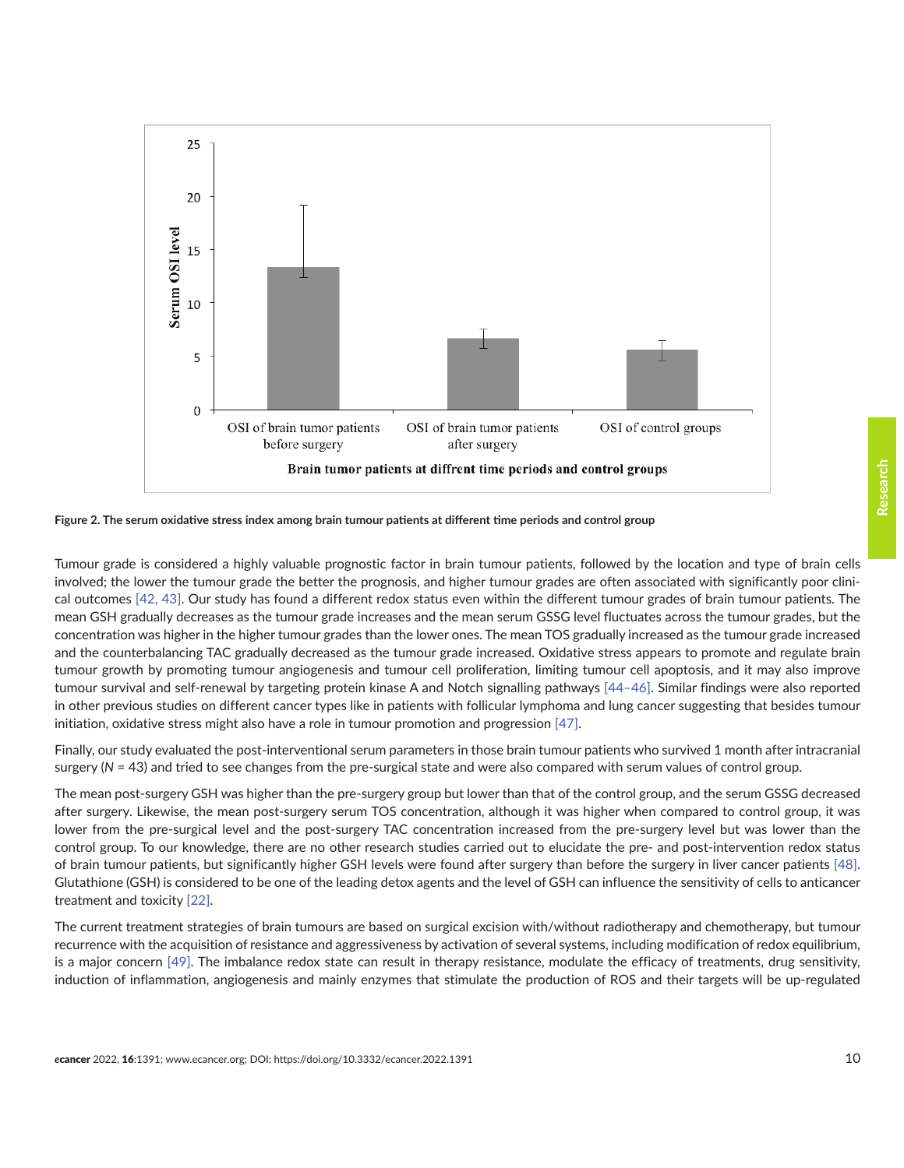<span id="page-9-0"></span>

**Figure 2. The serum oxidative stress index among brain tumour patients at different time periods and control group**

Tumour grade is considered a highly valuable prognostic factor in brain tumour patients, followed by the location and type of brain cells involved; the lower the tumour grade the better the prognosis, and higher tumour grades are often associated with significantly poor clinical outcomes [\[42,](#page-13-0) [43\].](#page-13-0) Our study has found a different redox status even within the different tumour grades of brain tumour patients. The mean GSH gradually decreases as the tumour grade increases and the mean serum GSSG level fluctuates across the tumour grades, but the concentration was higher in the higher tumour grades than the lower ones. The mean TOS gradually increased as the tumour grade increased and the counterbalancing TAC gradually decreased as the tumour grade increased. Oxidative stress appears to promote and regulate brain tumour growth by promoting tumour angiogenesis and tumour cell proliferation, limiting tumour cell apoptosis, and it may also improve tumour survival and self-renewal by targeting protein kinase A and Notch signalling pathways [\[44–46\].](#page-13-0) Similar findings were also reported in other previous studies on different cancer types like in patients with follicular lymphoma and lung cancer suggesting that besides tumour initiation, oxidative stress might also have a role in tumour promotion and progression [\[47\].](#page-14-0)

Finally, our study evaluated the post-interventional serum parameters in those brain tumour patients who survived 1 month after intracranial surgery (*N* = 43) and tried to see changes from the pre-surgical state and were also compared with serum values of control group.

The mean post-surgery GSH was higher than the pre-surgery group but lower than that of the control group, and the serum GSSG decreased after surgery. Likewise, the mean post-surgery serum TOS concentration, although it was higher when compared to control group, it was lower from the pre-surgical level and the post-surgery TAC concentration increased from the pre-surgery level but was lower than the control group. To our knowledge, there are no other research studies carried out to elucidate the pre- and post-intervention redox status of brain tumour patients, but significantly higher GSH levels were found after surgery than before the surgery in liver cancer patients [\[48\].](#page-14-0) Glutathione (GSH) is considered to be one of the leading detox agents and the level of GSH can influence the sensitivity of cells to anticancer treatment and toxicity [\[22\]](#page-12-0).

The current treatment strategies of brain tumours are based on surgical excision with/without radiotherapy and chemotherapy, but tumour recurrence with the acquisition of resistance and aggressiveness by activation of several systems, including modification of redox equilibrium, is a major concern [\[49\]](#page-14-0). The imbalance redox state can result in therapy resistance, modulate the efficacy of treatments, drug sensitivity, induction of inflammation, angiogenesis and mainly enzymes that stimulate the production of ROS and their targets will be up-regulated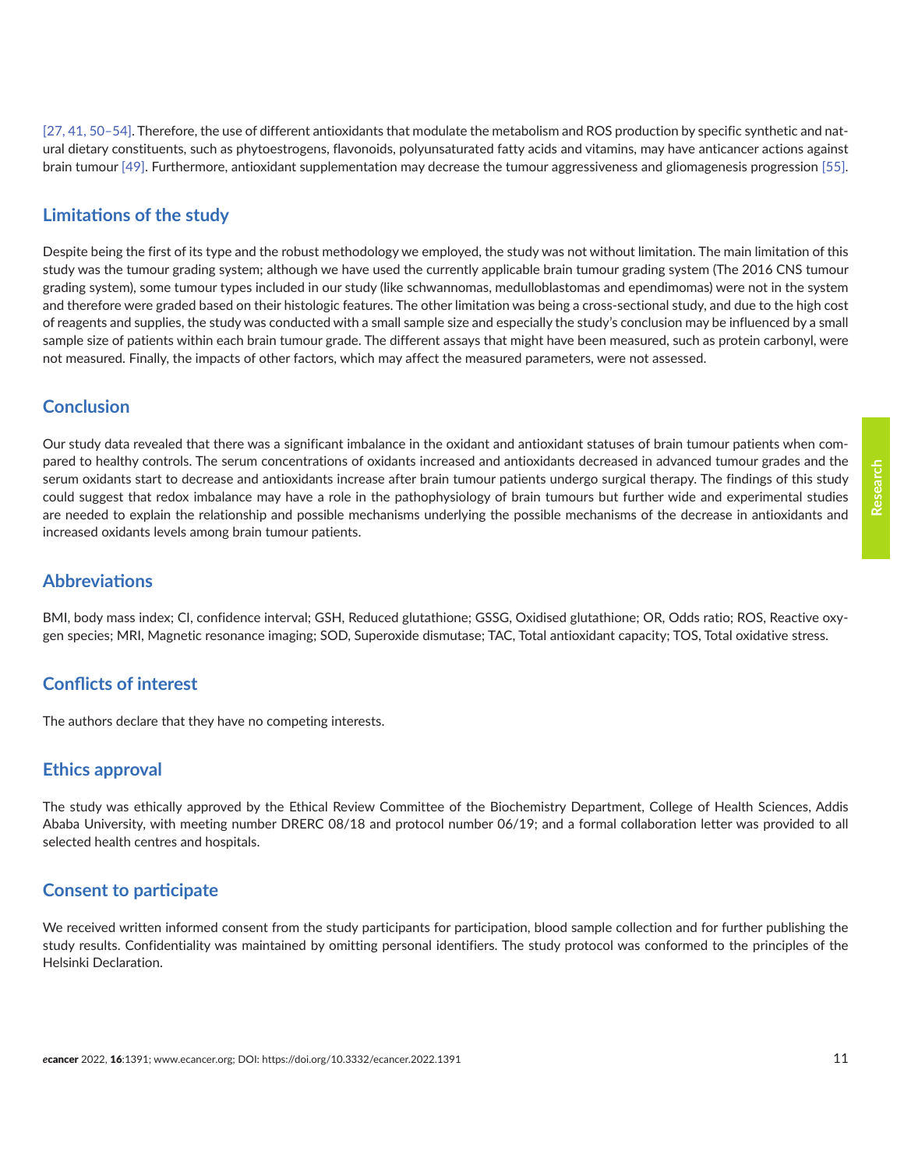[\[27,](#page-12-0) [41,](#page-13-0) [50–54\]](#page-14-0). Therefore, the use of different antioxidants that modulate the metabolism and ROS production by specific synthetic and natural dietary constituents, such as phytoestrogens, flavonoids, polyunsaturated fatty acids and vitamins, may have anticancer actions against brain tumour [\[49\]](#page-14-0). Furthermore, antioxidant supplementation may decrease the tumour aggressiveness and gliomagenesis progression [\[55\].](#page-14-0)

## **Limitations of the study**

Despite being the first of its type and the robust methodology we employed, the study was not without limitation. The main limitation of this study was the tumour grading system; although we have used the currently applicable brain tumour grading system (The 2016 CNS tumour grading system), some tumour types included in our study (like schwannomas, medulloblastomas and ependimomas) were not in the system and therefore were graded based on their histologic features. The other limitation was being a cross-sectional study, and due to the high cost of reagents and supplies, the study was conducted with a small sample size and especially the study's conclusion may be influenced by a small sample size of patients within each brain tumour grade. The different assays that might have been measured, such as protein carbonyl, were not measured. Finally, the impacts of other factors, which may affect the measured parameters, were not assessed.

#### **Conclusion**

Our study data revealed that there was a significant imbalance in the oxidant and antioxidant statuses of brain tumour patients when compared to healthy controls. The serum concentrations of oxidants increased and antioxidants decreased in advanced tumour grades and the serum oxidants start to decrease and antioxidants increase after brain tumour patients undergo surgical therapy. The findings of this study could suggest that redox imbalance may have a role in the pathophysiology of brain tumours but further wide and experimental studies are needed to explain the relationship and possible mechanisms underlying the possible mechanisms of the decrease in antioxidants and increased oxidants levels among brain tumour patients.

#### **Abbreviations**

BMI, body mass index; CI, confidence interval; GSH, Reduced glutathione; GSSG, Oxidised glutathione; OR, Odds ratio; ROS, Reactive oxygen species; MRI, Magnetic resonance imaging; SOD, Superoxide dismutase; TAC, Total antioxidant capacity; TOS, Total oxidative stress.

#### **Conflicts of interest**

The authors declare that they have no competing interests.

#### **Ethics approval**

The study was ethically approved by the Ethical Review Committee of the Biochemistry Department, College of Health Sciences, Addis Ababa University, with meeting number DRERC 08/18 and protocol number 06/19; and a formal collaboration letter was provided to all selected health centres and hospitals.

#### **Consent to participate**

We received written informed consent from the study participants for participation, blood sample collection and for further publishing the study results. Confidentiality was maintained by omitting personal identifiers. The study protocol was conformed to the principles of the Helsinki Declaration.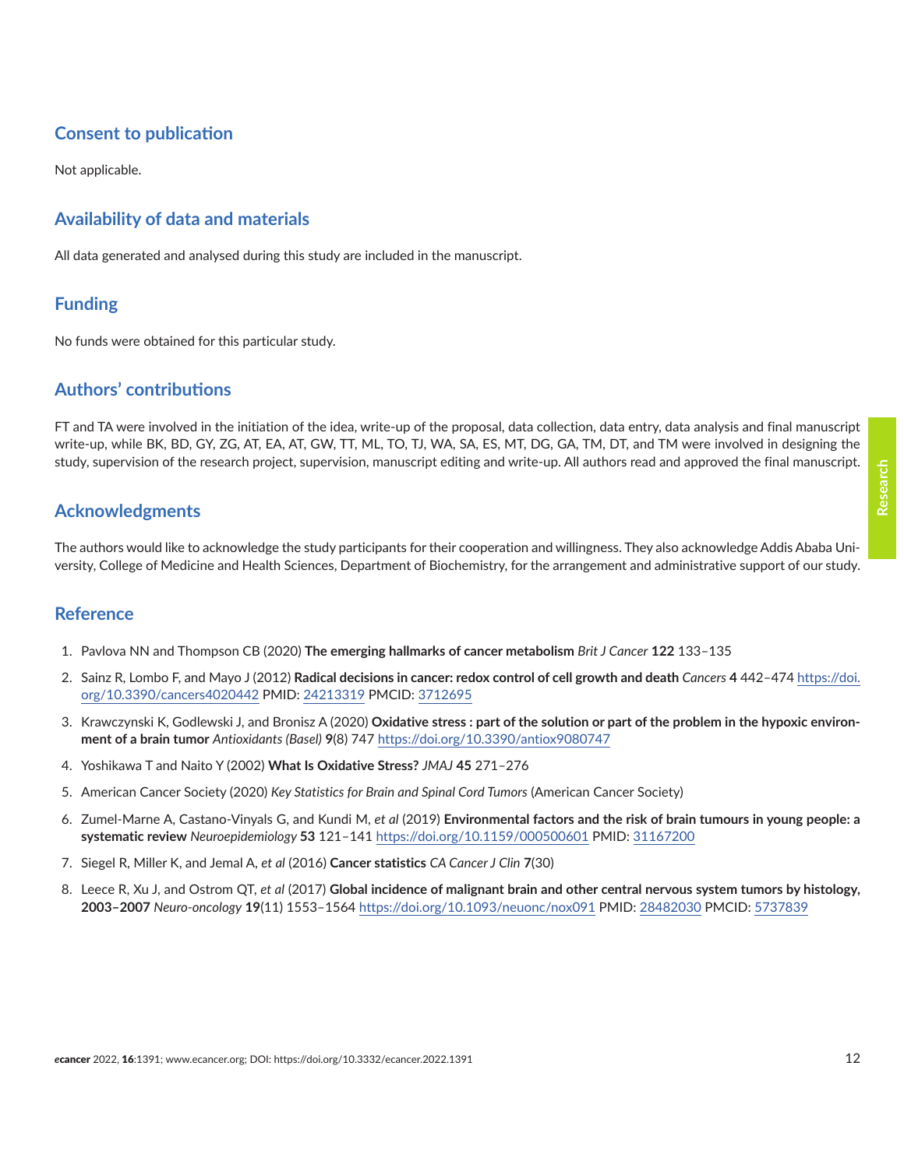# <span id="page-11-0"></span>**Consent to publication**

Not applicable.

## **Availability of data and materials**

All data generated and analysed during this study are included in the manuscript.

## **Funding**

No funds were obtained for this particular study.

## **Authors' contributions**

FT and TA were involved in the initiation of the idea, write-up of the proposal, data collection, data entry, data analysis and final manuscript write-up, while BK, BD, GY, ZG, AT, EA, AT, GW, TT, ML, TO, TJ, WA, SA, ES, MT, DG, GA, TM, DT, and TM were involved in designing the study, supervision of the research project, supervision, manuscript editing and write-up. All authors read and approved the final manuscript.

# **Acknowledgments**

The authors would like to acknowledge the study participants for their cooperation and willingness. They also acknowledge Addis Ababa University, College of Medicine and Health Sciences, Department of Biochemistry, for the arrangement and administrative support of our study.

#### **Reference**

- 1. Pavlova NN and Thompson CB (2020) **The emerging hallmarks of cancer metabolism** *Brit J Cancer* **122** 133–135
- 2. Sainz R, Lombo F, and Mayo J (2012) **Radical decisions in cancer: redox control of cell growth and death** *Cancers* **4** 442–474 [https://doi.](https://doi.org/10.3390/cancers4020442) [org/10.3390/cancers4020442](https://doi.org/10.3390/cancers4020442) PMID: [24213319](http://www.ncbi.nlm.nih.gov/pubmed/24213319) PMCID: [3712695](http://www.ncbi.nlm.nih.gov/pmc/articles/PMC3712695)
- 3. Krawczynski K, Godlewski J, and Bronisz A (2020) **Oxidative stress : part of the solution or part of the problem in the hypoxic environment of a brain tumor** *Antioxidants (Basel)* **9**(8) 747 <https://doi.org/10.3390/antiox9080747>
- 4. Yoshikawa T and Naito Y (2002) **What Is Oxidative Stress?** *JMAJ* **45** 271–276
- 5. American Cancer Society (2020) *Key Statistics for Brain and Spinal Cord Tumors* (American Cancer Society)
- 6. Zumel-Marne A, Castano-Vinyals G, and Kundi M, *et al* (2019) **Environmental factors and the risk of brain tumours in young people: a systematic review** *Neuroepidemiology* **53** 121–141 <https://doi.org/10.1159/000500601> PMID: [31167200](http://www.ncbi.nlm.nih.gov/pubmed/31167200)
- 7. Siegel R, Miller K, and Jemal A, *et al* (2016) **Cancer statistics** *CA Cancer J Clin* **7**(30)
- 8. Leece R, Xu J, and Ostrom QT, *et al* (2017) **Global incidence of malignant brain and other central nervous system tumors by histology, 2003–2007** *Neuro-oncology* **19**(11) 1553–1564<https://doi.org/10.1093/neuonc/nox091>PMID: [28482030](http://www.ncbi.nlm.nih.gov/pubmed/28482030) PMCID: [5737839](http://www.ncbi.nlm.nih.gov/pmc/articles/PMC5737839)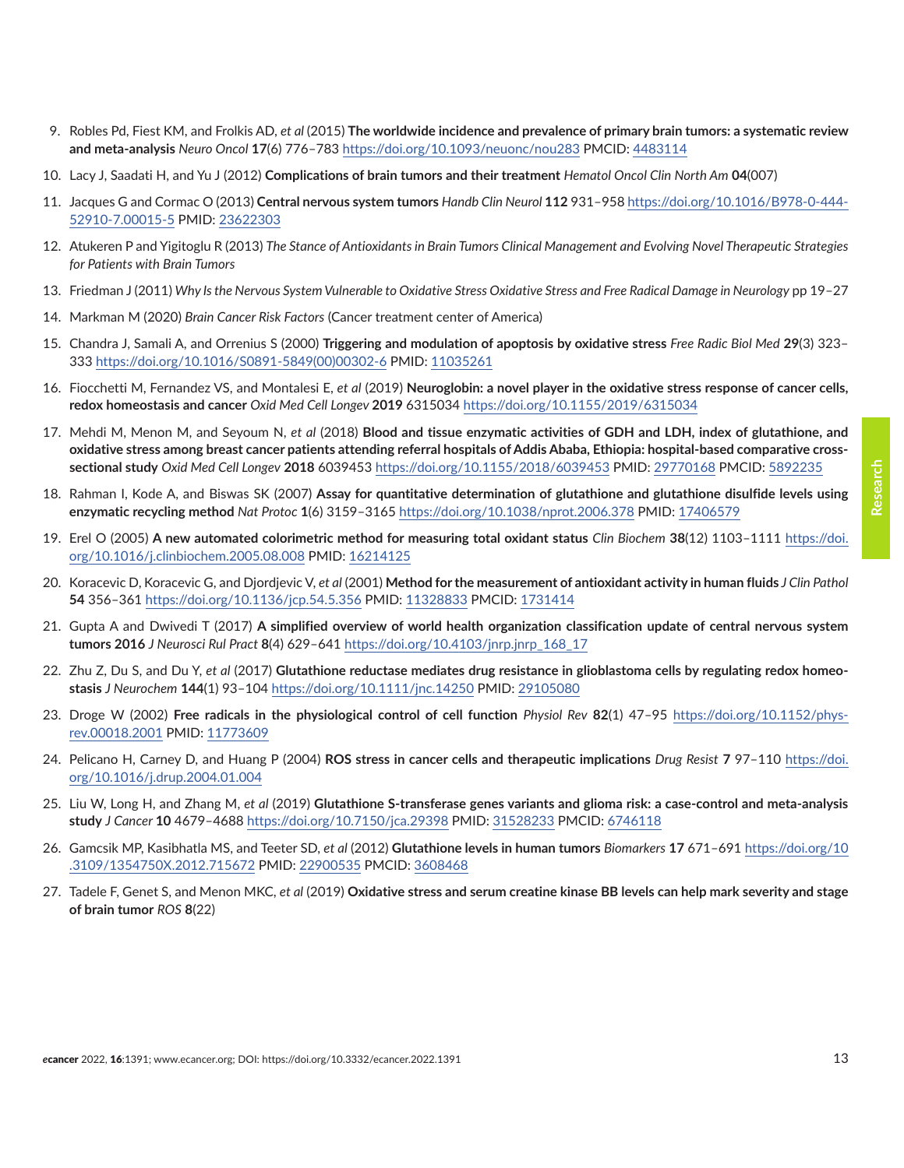- <span id="page-12-0"></span>9. Robles Pd, Fiest KM, and Frolkis AD, *et al* (2015) **The worldwide incidence and prevalence of primary brain tumors: a systematic review and meta-analysis** *Neuro Oncol* **17**(6) 776–783<https://doi.org/10.1093/neuonc/nou283>PMCID: [4483114](http://www.ncbi.nlm.nih.gov/pmc/articles/PMC4483114)
- 10. Lacy J, Saadati H, and Yu J (2012) **Complications of brain tumors and their treatment** *Hematol Oncol Clin North Am* **04**(007)
- 11. Jacques G and Cormac O (2013) **Central nervous system tumors** *Handb Clin Neurol* **112** 931–958 [https://doi.org/10.1016/B978-0-444-](https://doi.org/10.1016/B978-0-444-52910-7.00015-5) [52910-7.00015-5](https://doi.org/10.1016/B978-0-444-52910-7.00015-5) PMID: [23622303](http://www.ncbi.nlm.nih.gov/pubmed/23622303)
- 12. Atukeren P and Yigitoglu R (2013) *The Stance of Antioxidants in Brain Tumors Clinical Management and Evolving Novel Therapeutic Strategies for Patients with Brain Tumors*
- 13. Friedman J (2011) *Why Is the Nervous System Vulnerable to Oxidative Stress Oxidative Stress and Free Radical Damage in Neurology* pp 19–27
- 14. Markman M (2020) *Brain Cancer Risk Factors* (Cancer treatment center of America)
- 15. Chandra J, Samali A, and Orrenius S (2000) **Triggering and modulation of apoptosis by oxidative stress** *Free Radic Biol Med* **29**(3) 323– 333 [https://doi.org/10.1016/S0891-5849\(00\)00302-6](https://doi.org/10.1016/S0891-5849(00)00302-6) PMID: [11035261](http://www.ncbi.nlm.nih.gov/pubmed/11035261)
- 16. Fiocchetti M, Fernandez VS, and Montalesi E, *et al* (2019) **Neuroglobin: a novel player in the oxidative stress response of cancer cells, redox homeostasis and cancer** *Oxid Med Cell Longev* **2019** 6315034<https://doi.org/10.1155/2019/6315034>
- 17. Mehdi M, Menon M, and Seyoum N, *et al* (2018) **Blood and tissue enzymatic activities of GDH and LDH, index of glutathione, and oxidative stress among breast cancer patients attending referral hospitals of Addis Ababa, Ethiopia: hospital-based comparative crosssectional study** *Oxid Med Cell Longev* **2018** 6039453<https://doi.org/10.1155/2018/6039453> PMID: [29770168](http://www.ncbi.nlm.nih.gov/pubmed/29770168) PMCID: [5892235](http://www.ncbi.nlm.nih.gov/pmc/articles/PMC5892235)
- 18. Rahman I, Kode A, and Biswas SK (2007) **Assay for quantitative determination of glutathione and glutathione disulfide levels using enzymatic recycling method** *Nat Protoc* **1**(6) 3159–3165 <https://doi.org/10.1038/nprot.2006.378>PMID: [17406579](http://www.ncbi.nlm.nih.gov/pubmed/17406579)
- 19. Erel O (2005) **A new automated colorimetric method for measuring total oxidant status** *Clin Biochem* **38**(12) 1103–1111 [https://doi.](https://doi.org/10.1016/j.clinbiochem.2005.08.008) [org/10.1016/j.clinbiochem.2005.08.008](https://doi.org/10.1016/j.clinbiochem.2005.08.008) PMID: [16214125](http://www.ncbi.nlm.nih.gov/pubmed/16214125)
- 20. Koracevic D, Koracevic G, and Djordjevic V, *et al* (2001) **Method for the measurement of antioxidant activity in human fluids** *J Clin Pathol* **54** 356–361 <https://doi.org/10.1136/jcp.54.5.356> PMID: [11328833](http://www.ncbi.nlm.nih.gov/pubmed/11328833) PMCID: [1731414](http://www.ncbi.nlm.nih.gov/pmc/articles/PMC1731414)
- 21. Gupta A and Dwivedi T (2017) **A simplified overview of world health organization classification update of central nervous system tumors 2016** *J Neurosci Rul Pract* **8**(4) 629–641 [https://doi.org/10.4103/jnrp.jnrp\\_168\\_17](https://doi.org/10.4103/jnrp.jnrp_168_17)
- 22. Zhu Z, Du S, and Du Y, *et al* (2017) **Glutathione reductase mediates drug resistance in glioblastoma cells by regulating redox homeostasis** *J Neurochem* **144**(1) 93–104<https://doi.org/10.1111/jnc.14250> PMID: [29105080](http://www.ncbi.nlm.nih.gov/pubmed/29105080)
- 23. Droge W (2002) **Free radicals in the physiological control of cell function** *Physiol Rev* **82**(1) 47–95 [https://doi.org/10.1152/phys](https://doi.org/10.1152/physrev.00018.2001)[rev.00018.2001](https://doi.org/10.1152/physrev.00018.2001) PMID: [11773609](http://www.ncbi.nlm.nih.gov/pubmed/11773609)
- 24. Pelicano H, Carney D, and Huang P (2004) **ROS stress in cancer cells and therapeutic implications** *Drug Resist* **7** 97–110 [https://doi.](https://doi.org/10.1016/j.drup.2004.01.004) [org/10.1016/j.drup.2004.01.004](https://doi.org/10.1016/j.drup.2004.01.004)
- 25. Liu W, Long H, and Zhang M, *et al* (2019) **Glutathione S-transferase genes variants and glioma risk: a case-control and meta-analysis study** *J Cancer* **10** 4679–4688 <https://doi.org/10.7150/jca.29398>PMID: [31528233](http://www.ncbi.nlm.nih.gov/pubmed/31528233) PMCID: [6746118](http://www.ncbi.nlm.nih.gov/pmc/articles/PMC6746118)
- 26. Gamcsik MP, Kasibhatla MS, and Teeter SD, *et al* (2012) **Glutathione levels in human tumors** *Biomarkers* **17** 671–691 [https://doi.org/10](https://doi.org/10.3109/1354750X.2012.715672) [.3109/1354750X.2012.715672](https://doi.org/10.3109/1354750X.2012.715672) PMID: [22900535](http://www.ncbi.nlm.nih.gov/pubmed/22900535) PMCID: [3608468](http://www.ncbi.nlm.nih.gov/pmc/articles/PMC3608468)
- 27. Tadele F, Genet S, and Menon MKC, *et al* (2019) **Oxidative stress and serum creatine kinase BB levels can help mark severity and stage of brain tumor** *ROS* **8**(22)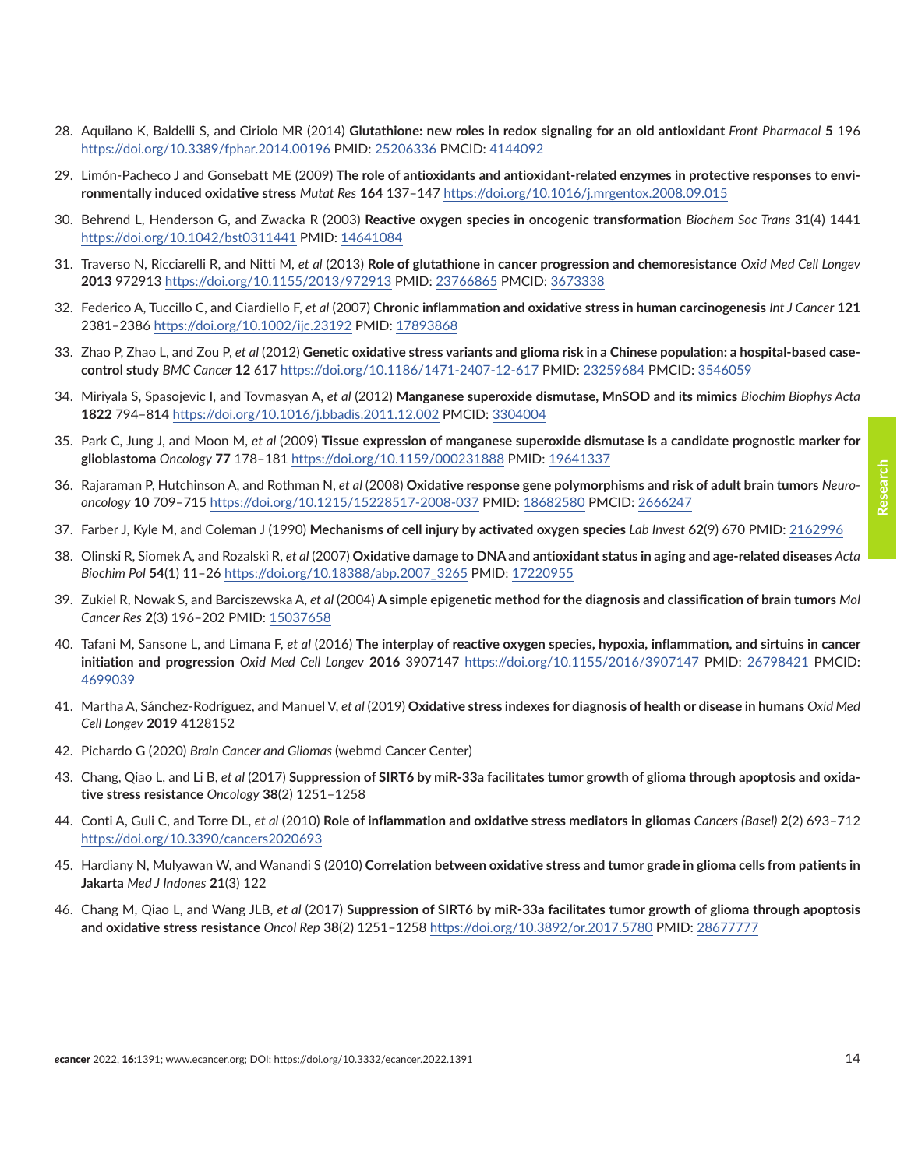- <span id="page-13-0"></span>28. Aquilano K, Baldelli S, and Ciriolo MR (2014) **Glutathione: new roles in redox signaling for an old antioxidant** *Front Pharmacol* **5** 196 <https://doi.org/10.3389/fphar.2014.00196> PMID: [25206336](http://www.ncbi.nlm.nih.gov/pubmed/25206336) PMCID: [4144092](http://www.ncbi.nlm.nih.gov/pmc/articles/PMC4144092)
- 29. Limón-Pacheco J and Gonsebatt ME (2009) **The role of antioxidants and antioxidant-related enzymes in protective responses to environmentally induced oxidative stress** *Mutat Res* **164** 137–147 <https://doi.org/10.1016/j.mrgentox.2008.09.015>
- 30. Behrend L, Henderson G, and Zwacka R (2003) **Reactive oxygen species in oncogenic transformation** *Biochem Soc Trans* **31**(4) 1441 <https://doi.org/10.1042/bst0311441>PMID: [14641084](http://www.ncbi.nlm.nih.gov/pubmed/14641084)
- 31. Traverso N, Ricciarelli R, and Nitti M, *et al* (2013) **Role of glutathione in cancer progression and chemoresistance** *Oxid Med Cell Longev* **2013** 972913 <https://doi.org/10.1155/2013/972913> PMID: [23766865](http://www.ncbi.nlm.nih.gov/pubmed/23766865) PMCID: [3673338](http://www.ncbi.nlm.nih.gov/pmc/articles/PMC3673338)
- 32. Federico A, Tuccillo C, and Ciardiello F, *et al* (2007) **Chronic inflammation and oxidative stress in human carcinogenesis** *Int J Cancer* **121** 2381–2386<https://doi.org/10.1002/ijc.23192> PMID: [17893868](http://www.ncbi.nlm.nih.gov/pubmed/17893868)
- 33. Zhao P, Zhao L, and Zou P, *et al* (2012) **Genetic oxidative stress variants and glioma risk in a Chinese population: a hospital-based casecontrol study** *BMC Cancer* **12** 617<https://doi.org/10.1186/1471-2407-12-617> PMID: [23259684](http://www.ncbi.nlm.nih.gov/pubmed/23259684) PMCID: [3546059](http://www.ncbi.nlm.nih.gov/pmc/articles/PMC3546059)
- 34. Miriyala S, Spasojevic I, and Tovmasyan A, *et al* (2012) **Manganese superoxide dismutase, MnSOD and its mimics** *Biochim Biophys Acta* **1822** 794–814<https://doi.org/10.1016/j.bbadis.2011.12.002>PMCID: [3304004](http://www.ncbi.nlm.nih.gov/pmc/articles/PMC3304004)
- 35. Park C, Jung J, and Moon M, *et al* (2009) **Tissue expression of manganese superoxide dismutase is a candidate prognostic marker for glioblastoma** *Oncology* **77** 178–181 <https://doi.org/10.1159/000231888>PMID: [19641337](http://www.ncbi.nlm.nih.gov/pubmed/19641337)
- 36. Rajaraman P, Hutchinson A, and Rothman N, *et al* (2008) **Oxidative response gene polymorphisms and risk of adult brain tumors** *Neurooncology* **10** 709–715<https://doi.org/10.1215/15228517-2008-037>PMID: [18682580](http://www.ncbi.nlm.nih.gov/pubmed/18682580) PMCID: [2666247](http://www.ncbi.nlm.nih.gov/pmc/articles/PMC2666247)
- 37. Farber J, Kyle M, and Coleman J (1990) **Mechanisms of cell injury by activated oxygen species** *Lab Invest* **62**(9) 670 PMID: [2162996](http://www.ncbi.nlm.nih.gov/pubmed/2162996)
- 38. Olinski R, Siomek A, and Rozalski R, *et al* (2007) **Oxidative damage to DNA and antioxidant status in aging and age-related diseases** *Acta Biochim Pol* **54**(1) 11–26 [https://doi.org/10.18388/abp.2007\\_3265](https://doi.org/10.18388/abp.2007_3265) PMID: [17220955](http://www.ncbi.nlm.nih.gov/pubmed/17220955)
- 39. Zukiel R, Nowak S, and Barciszewska A, *et al* (2004) **A simple epigenetic method for the diagnosis and classification of brain tumors** *Mol Cancer Res* **2**(3) 196–202 PMID: [15037658](http://www.ncbi.nlm.nih.gov/pubmed/15037658)
- 40. Tafani M, Sansone L, and Limana F, *et al* (2016) **The interplay of reactive oxygen species, hypoxia, inflammation, and sirtuins in cancer initiation and progression** *Oxid Med Cell Longev* **2016** 3907147 <https://doi.org/10.1155/2016/3907147>PMID: [26798421](http://www.ncbi.nlm.nih.gov/pubmed/26798421) PMCID: [4699039](http://www.ncbi.nlm.nih.gov/pmc/articles/PMC4699039)
- 41. Martha A, Sánchez-Rodríguez, and Manuel V, *et al* (2019) **Oxidative stress indexes for diagnosis of health or disease in humans** *Oxid Med Cell Longev* **2019** 4128152
- 42. Pichardo G (2020) *Brain Cancer and Gliomas* (webmd Cancer Center)
- 43. Chang, Qiao L, and Li B, *et al* (2017) **Suppression of SIRT6 by miR-33a facilitates tumor growth of glioma through apoptosis and oxidative stress resistance** *Oncology* **38**(2) 1251–1258
- 44. Conti A, Guli C, and Torre DL, *et al* (2010) **Role of inflammation and oxidative stress mediators in gliomas** *Cancers (Basel)* **2**(2) 693–712 <https://doi.org/10.3390/cancers2020693>
- 45. Hardiany N, Mulyawan W, and Wanandi S (2010) **Correlation between oxidative stress and tumor grade in glioma cells from patients in Jakarta** *Med J Indones* **21**(3) 122
- 46. Chang M, Qiao L, and Wang JLB, *et al* (2017) **Suppression of SIRT6 by miR-33a facilitates tumor growth of glioma through apoptosis and oxidative stress resistance** *Oncol Rep* **38**(2) 1251–1258<https://doi.org/10.3892/or.2017.5780> PMID: [28677777](http://www.ncbi.nlm.nih.gov/pubmed/28677777)